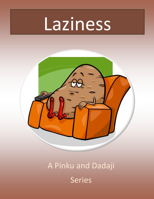# Laziness



# A Pinku and Dadaji Series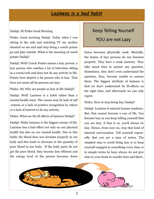# *Laziness is a bad habit*

#### Dadaji: Hi Pinku Good Morning

Pinku: Good morning Dadaji. Today when I was sitting in the sofa and watching TV my mother shouted on me and said stop being a couch potato go and play outside. What is the meaning of couch potato Dadaji?

Dadaji: Well! Couch Potato means a lazy person; a lazy person who watches a lot of television sitting in a couch/sofa and does not do any activity in life. Potato here depicts a fat person who is lazy. That does not mean all fat persons are lazy.

Pinku: Ah! Why are people so lazy in life Dadaji?

Dadaji: Well! Laziness is a habit rather than a mental health issue. The causes may be lack of self -esteem or a lack of positive recognition by others or a lack of interest to do any activity.

Pinku: What are the ill effects of laziness Dadaji?

Dadaji: Pinku laziness is the biggest enemy of life. Laziness has a bad effect not only on our physical health but also on our mental health. Due to this habit, the blood does not circulate properly in our body and this leads to decrease in the quantity of pure blood in our body. If the body parts do not get the pure blood, they become less efficient and the energy level of the person becomes down

## Keep Telling Yourself

#### YOU are not Lazy

hence becomes physically weak. Mentally, the brains of lazy persons do not function properly. They have a weak memory. They take much time to answer any question. Sometimes, they don't even understand the question, thus, become unable to answer them. The biggest attribute of laziness is that we don't understand its ill-effects on the right time, and afterwards we can only regret.

Pinku: How to stop being lazy Dadaji?

Dadaji: Laziness is natural human tendency. But, that cannot become a way of life. You become lazy as you keep telling yourself that you are lazy, if that is so, you'll always be lazy. Hence, from now on, stop that kind of internal conversation. Tell yourself repeatedly that you are a man of action. The simplest step to avoid being lazy is to keep yourself engaged in something every time or in simple terms be busy always do not give time to your brain to wander here and there.

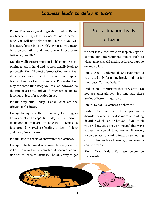# *Laziness leads to delay in tasks*

Pinku: That was a great suggestion Dadaji. Dadaji my teacher always tells in class "do not procrastinate, you will not only become lazy but you will lose every battle in your life". What do you mean by procrastination and how one will lose every battle in one's life?

Dadaji: Well! Procrastination is delaying or postponing a task in hand and laziness usually leads to procrastination. Ill effect of procrastination is, that it becomes more difficult for you to accomplish task in hand as the time moves. Procrastination may for some time keep you relaxed however, as the time passes by, and you further procrastinate; it brings in lots of frustration in you.

Pinku: Very true Dadaji. Dadaji what are the triggers for laziness?

Dadaji: In my time there were only two triggers known "rest and sleep". But today, with entertainment options that are available 24/7, laziness is just around everywhere leading to lack of sleep and lack of work as well.

Pinku: How to get rid of entertainment laziness?

Dadaji: Entertainment is required by everyone this is how we relax but, too much of it becomes addiction which leads to laziness. The only way to get

#### Procrastination Leads

#### to Laziness

rid of it is to either avoid or keep only specific time for entertainment modes such as video games, social media, software, apps so on and so forth.

Pinku: Ah! I understood. Entertainment is to be used only for taking breaks and not for time-pass. Correct Dadaji?

Dadaji: You interpreted that very aptly. Do not use entertainment for time-pass there are lot of better things to do.

Pinku: Dadaji, Is laziness a behavior?

Dadaji: Laziness is not a personality disorder or a behavior it is more of thinking disorder which can be broken. If you think you are lazy, you stop working and find ways to pass time you will become such, However, if you deviate your mind towards something constructive such as learning, your laziness can be broken.

Pinku: True Dadaji. Can lazy person be successful?

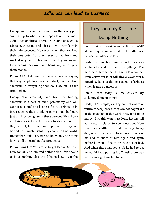# *Idleness can lead to Laziness*

Dadaji: Well! Laziness is something that every person has up to what extent depends on their individual personalities. There are examples such as Einstein, Newton, and Picasso who were lazy in their adolescences. However, when they realized their true potential, they never turned back and worked very hard to become what they are known for meaning they overcame being lazy which gave them results.

Pinku: Ok! That reminds me of a popular saying that lazy people have more creativity and can find shortcuts in everything they do. How far is that true Dadaji?

Dadaji: The creativity and trait for finding shortcuts is a part of one's personality and you cannot give credit to laziness for it. Laziness is in fact reducing their thinking power hour by hour, just think by being lazy if these personalities shower their creativity or find ways to shorten jobs, if they are not, how much more productive they can be and how much useful they can be to this world. Remember Pinku lazy person know only one thing how to kill time and not be productive.

Pinku: Bang On! You are on target Dadaji. So true, Lazy can only be lazy and nothing else. If you want to be something else, avoid being lazy. I got the

# Lazy can only Kill Time Doing Nothing

point that you want to make Dadaji. Well! My next question is what is the difference between an idler and lazy?

Dadaji: No much difference both finds way to be idle and not to do anything. The hairline difference can be that a lazy can become active but idler will always avoid work. Meaning, idler is the next stage of laziness which is more dangerous.

Pinku: Got it Dadaji. Tell me, why are lazy so happy doing nothing?

Dadaji: It's simple, as they are not aware of future consequences; they are not cognizant of the true fact of this world they tend to be happy. But, this won't last long. Let me tell you a story related to your question: Here was once a little bird that was lazy. Every day, when it was time to get up, friends of his had to shout at him again and again before he would finally struggle out of bed. And when there was some job he had to do, he would keep putting it off until there was hardly enough time left to do it.

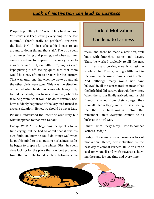# *Lack of motivation can lead to Laziness*

People kept telling him "What a lazy bird you are! You can't just keep leaving everything to the last minute". "There's really no problem", answered the little bird, "I just take a bit longer to get around to doing things, that's all". The bird spent all summer flying and playing, and when autumn came it was time to prepare for the long journey to a warmer land. But, our little bird, lazy as ever, kept putting it off, feeling quite sure that there would be plenty of time to prepare for the journey. That was, until one day when he woke up and all the other birds were gone. This was the situation of the bird when he did not know which way to fly to find its friends, how to survive in cold, whom to take help from, what would he do to survive? See, how suddenly happiness of the lazy bird turned to a tragic situation. Hence, we should be never lazy.

Pinku: I understood the intent of your story but what happened to that bird Dadaji?

Dadaji: Well! At the beginning, he spent a lot of time crying, but he had to admit that it was his own fault. He knew he could do things well when he put his mind to it so, putting his laziness aside, he began to prepare for the winter. First, he spent days looking for the place that was best protected from the cold. He found a place between some

# Lack of Motivation

#### Can lead to Laziness

rocks, and there he made a new nest, well built with branches, stones and leaves. Then, he worked tirelessly to fill the nest with fruits and berries, enough to last the whole winter. Finally, he dug a little pool in the cave, so he would have enough water. And, although many would not have believed it, all these preparations meant that the little bird did survive through the winter. When the spring finally arrived, and his old friends returned from their voyage, they were all filled with joy and surprise at seeing that the little bird was still alive. But remember Pinku everyone cannot be as lucky as the bird was.

Pinku: Hmm…lucky birdy…How to combat laziness Dadaji?

Dadaji: The main cause of laziness is lack of motivation. Hence, self-motivation is the best way to combat laziness. Build an aim or goal for yourself and work towards achieving the same for one time and every time.

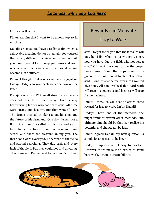# *Laziness will reap Laziness*

Laziness will vanish.

Pinku: An aim that I want to be among top 10 in my class.

Dadaji: Yes true. You have a realistic aim which is achievable meaning do not put an aim for yourself that is very difficult to achieve and when you fail, you have to regret for it. Keep your aims and goals reachable and achievable and increase it as you become more efficient.

Pinku: I thought that was a very good suggestion Dadaji. Dadaji can you teach someone how not be lazy?

Dadaji: Yes why not? A small story for you to understand this: In a small village lived a very hardworking farmer who had three sons. All three were strong and healthy. But they were all lazy. The farmer was sad thinking about his sons and the future of his farmland. One day, farmer got a flash of an idea. He called all his sons and said I have hidden a treasure in our farmland. You search and share the treasure among you. The three sons were overjoyed. They went to the fields and started searching. They dug each and every inch of the field. But they could not find anything. They were sad. Farmer said to his sons, "Oh! Dear

#### Rewards can Motivate

## Lazy to Work

sons I forgot to tell you that the treasure will only be visible when you sow a crop, since, now you have dug the field, why not sow a crop? Off went the sons to sow the crops. Days passed. Soon, the crops grew lushly green. The sons were delighted. The father said, "Sons, this is the real treasure I wanted give you". All sons realized that hard work will reap in good crops and laziness will reap further laziness.

Pinku: Hmm… so you need to attach some reward for lazy to work. Isn't it Dadaji?

Dadaji: That's one of the methods, one might think of several other methods. But, ultimate aim should be that lazy realize his potential and change not be lazy.

Pinku: Agreed Dadaji. My next question, is simplicity an excuse to be lazy?

Dadaji: Simplicity is not easy to practice. However, if we make it an excuse to avoid hard work, it ruins our capabilities.

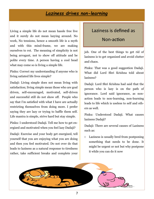# *Laziness drives non-learning*

Living a simple life do not mean hassle free live and it surely do not mean lazying around. No work, No tensions, hence a smooth life is a myth and with this mind-frame, we are making ourselves to rot. The meaning of simplicity is not being arrogant, not to show off attitude and be polite every time. A person having a cool head what may come so is living a simple life.

Pinku: Correct my understanding if anyone who is living satiated life lives simple?

Dadaji: Living simple does not mean living with satisfaction; living simple mean those who are goal driven, self-encouraged, motivated, self-driven and successful still do not show off. People who say that I'm satisfied with what I have are actually restricting themselves from doing more. I prefer saying they are lazy or trying to baffle them self. Life mantra is simple, strive hard but stay simple.

Pinku: I understood Dadaji. Tell me how to get energized and motivated when you feel lazy Dadaji?

Dadaji: Exercise and your body get energized, tell yourself that you are enjoying what you are doing and then you feel motivated. Do not over do that leads to laziness as a natural response to tiredness rather, take sufficient breaks and complete your

#### Laziness is defined as

#### Non-action

job. One of the best things to get rid of laziness is to get organized and avoid clutter and chaos.

Pinku: That was a good suggestion Dadaji. What did Lord Shri Krishna told about laziness?

Dadaji: Lord Shri Krishna had said that the person who is lazy is on the path of ignorance. Lord said ignorance, as nonaction leads to non-learning, non-learning leads to life which is useless to self and others as well.

Pinku: Understood Dadaji. What causes laziness Dadaji?

Dadaji: There are several causes of Laziness such as:

 Laziness is usually bred from postponing something that needs to be done. It might be urgent or not but why postpone it while you can do it now

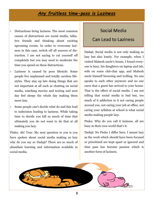# *Any fruitless time-pass is Laziness*

- Distractions bring laziness. The most common causes of distractions are social media, talkative friends and thinking about exciting upcoming events. In order to overcome laziness in this case, switch off all sources of distraction. I am not saying to cut yourself off completely but you may need to moderate the time you spend on these distractions.
- Laziness is caused by poor lifestyle. Some people live unplanned and totally careless lifestyles. They stay up late doing things that are not important at all such as chatting on social media, watching movies and texting and next day feel sleepy the whole day making them more lazy.
- Some people can't decide what do and this lead to indecision leading to laziness. While taking time to decide you kill so much of time that ultimately you do not want to do that at all making you lazy.

Pinku: Ah! True. My next question to you is you have spoken about social media making us lazy why do you say so Dadaji? There are so much of abundant learning and information available in social media.

#### Social Media

#### Can Lead to Laziness

Dadaji: Social media is not only making us lazy but also lonely. For example, when I visited Mahesh uncle's house, I found everyone is busy, his daughters on laptop and tab, wife on some chit-chat app, and Mahesh uncle himself browsing and trolling. No one speaks to each other anymore and no one cares that a guest has arrived to your house. That is the effect of social media. I am not telling that social media is bad but, too much of it addiction to it not caring people around you, not caring your job at office, not caring your syllabus at school is what social media making people lazy.

Pinku: Why do you call it laziness, all are busy in their own world that's it.

Dadaji: No Pinku I differ here, I meant lazy as the work which should have been focused or prioritized are kept apart or ignored and time pass has become passion which is another form of laziness.

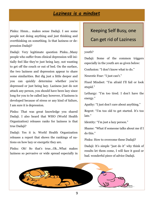# *Laziness is a mindset*

Pinku: Hmm… makes sense Dadaji. I see some people not doing anything and just thinking and overthinking on something. Is that laziness or depression Dadaji?

Dadaji: Very legitimate question Pinku...Many people who suffer from clinical depression will initially feel like they're just being lazy, not wanting to get off the couch or out of bed. On the surface, the two laziness and depression appear to share some similarities. But dig just a little deeper and you can quickly determine whether you're depressed or just being lazy. Laziness just do not attack any person, you should have been lazy since long for you to be called lazy however, if laziness is developed because of stress or any kind of failure, I am sure it is depression.

Pinku: That was great knowledge you shared Dadaji. I also heard that WHO (World Health Organization) releases ranks for laziness is that true Dadaji?

Dadaji: Yes it is. World Health Organization releases a report that shows the rankings of nations on how lazy or energetic they are.

Pinku: Oh! So that's true…Ok…What makes laziness so pervasive or wide spread especially in

#### Keeping Self Busy, one

#### Can get rid of Laziness

#### youth?

Dadaji: Some of the common triggers especially in the youth are as given below:

Confusion: "I don't know what to do."

Neurotic Fear: "I just can't."

Fixed Mindset: "I'm afraid I'll fail or look stupid."

Lethargy: "I'm too tired. I don't have the energy."

Apathy: "I just don't care about anything."

Regret: "I'm too old to get started. It's too late."

Identity: "I'm just a lazy person."

Shame: "What if someone talks about me if I do this."

Pinku: How to overcome these Dadaji?

Dadaji: It's simple "just do it" why think of results let them come, I will face it good or bad. wonderful piece of advice Dadaji.